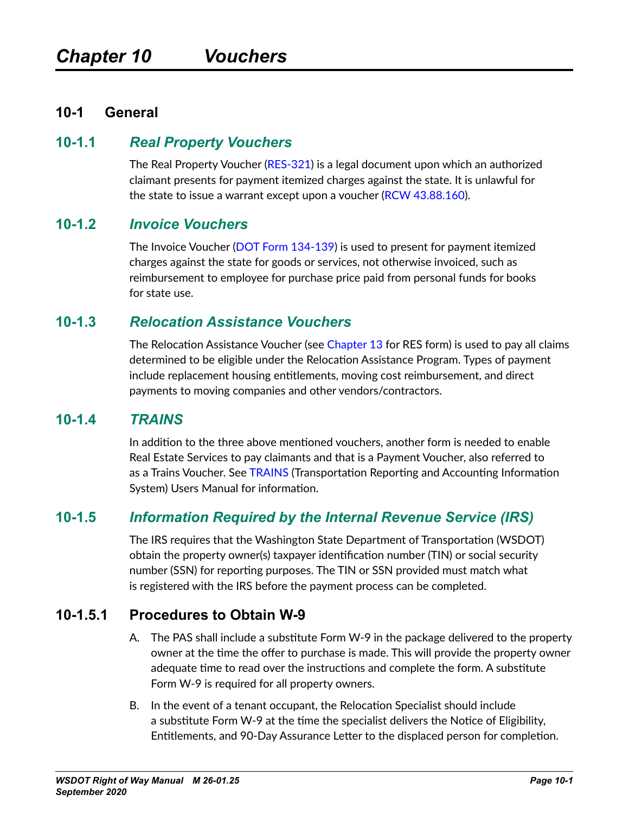#### **10-1 General**

#### **10-1.1** *Real Property Vouchers*

<span id="page-0-0"></span>The Real Property Voucher [\(RES-321\)](http://wwwi.wsdot.wa.gov/Design/RealEstateServices/AcquisitionForms.htm) is a legal document upon which an authorized claimant presents for payment itemized charges against the state. It is unlawful for the state to issue a warrant except upon a voucher (RCW [43.88.160\)](http://apps.leg.wa.gov/RCW/default.aspx?cite=43.88.160).

#### **10-1.2** *Invoice Vouchers*

The Invoice Voucher ([DOT Form 134-139\)](http://wwwi.wsdot.wa.gov/fasc/adminservices/forms/formfiles/WSDOT_Forms/134-139-InvoiceVoucher.fp7) is used to present for payment itemized charges against the state for goods or services, not otherwise invoiced, such as reimbursement to employee for purchase price paid from personal funds for books for state use.

#### **10-1.3** *Relocation Assistance Vouchers*

The Relocation Assistance Voucher (see Chapter 13 for RES form) is used to pay all claims determined to be eligible under the Relocation Assistance Program. Types of payment include replacement housing entitlements, moving cost reimbursement, and direct payments to moving companies and other vendors/contractors.

#### **10-1.4** *TRAINS*

In addition to the three above mentioned vouchers, another form is needed to enable Real Estate Services to pay claimants and that is a Payment Voucher, also referred to as a Trains Voucher. See [TRAINS](http://http://wwwi.wsdot.wa.gov/fasc/accounting/) (Transportation Reporting and Accounting Information System) Users Manual for information.

## **10-1.5** *Information Required by the Internal Revenue Service (IRS)*

The IRS requires that the Washington State Department of Transportation (WSDOT) obtain the property owner(s) taxpayer identification number (TIN) or social security number (SSN) for reporting purposes. The TIN or SSN provided must match what is registered with the IRS before the payment process can be completed.

#### **10-1.5.1 Procedures to Obtain W-9**

- A. The PAS shall include a substitute Form W-9 in the package delivered to the property owner at the time the offer to purchase is made. This will provide the property owner adequate time to read over the instructions and complete the form. A substitute Form W-9 is required for all property owners.
- B. In the event of a tenant occupant, the Relocation Specialist should include a substitute Form W-9 at the time the specialist delivers the Notice of Eligibility, Entitlements, and 90-Day Assurance Letter to the displaced person for completion.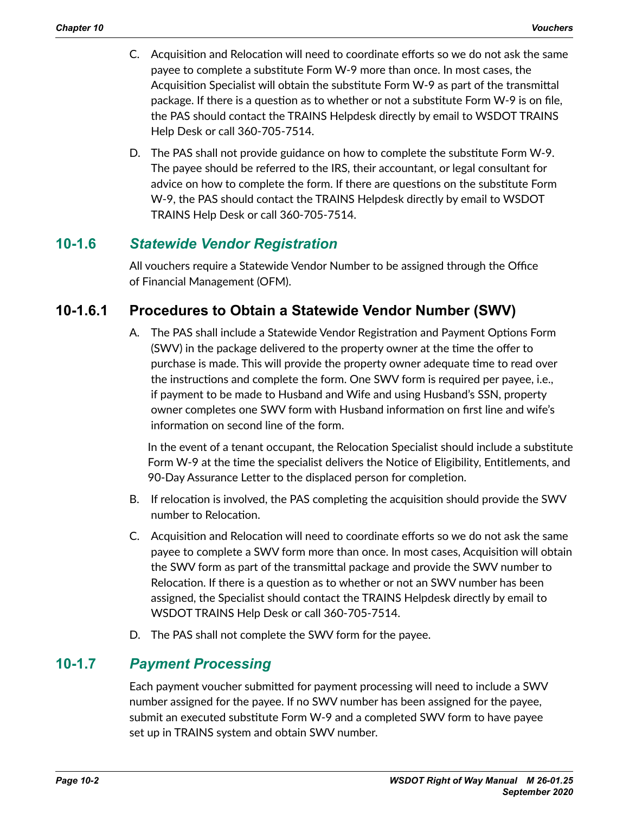- C. Acquisition and Relocation will need to coordinate efforts so we do not ask the same payee to complete a substitute Form W-9 more than once. In most cases, the Acquisition Specialist will obtain the substitute Form W-9 as part of the transmittal package. If there is a question as to whether or not a substitute Form W-9 is on file, the PAS should contact the TRAINS Helpdesk directly by email to WSDOT TRAINS Help Desk or call 360-705-7514.
- D. The PAS shall not provide guidance on how to complete the substitute Form W-9. The payee should be referred to the IRS, their accountant, or legal consultant for advice on how to complete the form. If there are questions on the substitute Form W-9, the PAS should contact the TRAINS Helpdesk directly by email to WSDOT TRAINS Help Desk or call 360-705-7514.

## **10-1.6** *Statewide Vendor Registration*

All vouchers require a Statewide Vendor Number to be assigned through the Office of Financial Management (OFM).

# **10-1.6.1 Procedures to Obtain a Statewide Vendor Number (SWV)**

A. The PAS shall include a Statewide Vendor Registration and Payment Options Form (SWV) in the package delivered to the property owner at the time the offer to purchase is made. This will provide the property owner adequate time to read over the instructions and complete the form. One SWV form is required per payee, i.e., if payment to be made to Husband and Wife and using Husband's SSN, property owner completes one SWV form with Husband information on first line and wife's information on second line of the form.

In the event of a tenant occupant, the Relocation Specialist should include a substitute Form W-9 at the time the specialist delivers the Notice of Eligibility, Entitlements, and 90-Day Assurance Letter to the displaced person for completion.

- B. If relocation is involved, the PAS completing the acquisition should provide the SWV number to Relocation.
- C. Acquisition and Relocation will need to coordinate efforts so we do not ask the same payee to complete a SWV form more than once. In most cases, Acquisition will obtain the SWV form as part of the transmittal package and provide the SWV number to Relocation. If there is a question as to whether or not an SWV number has been assigned, the Specialist should contact the TRAINS Helpdesk directly by email to WSDOT TRAINS Help Desk or call 360-705-7514.
- D. The PAS shall not complete the SWV form for the payee.

# **10-1.7** *Payment Processing*

Each payment voucher submitted for payment processing will need to include a SWV number assigned for the payee. If no SWV number has been assigned for the payee, submit an executed substitute Form W-9 and a completed SWV form to have payee set up in TRAINS system and obtain SWV number.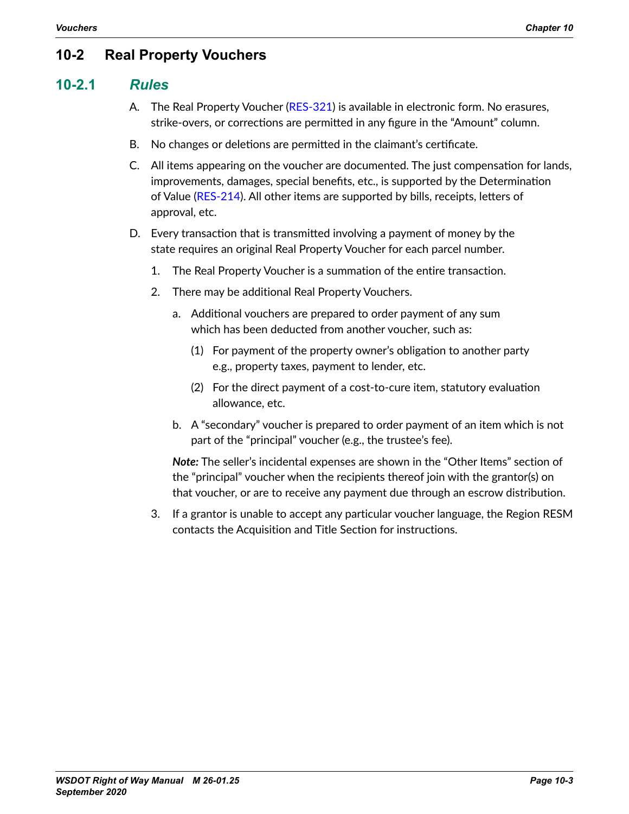# **10-2 Real Property Vouchers**

### **10-2.1** *Rules*

- A. The Real Property Voucher [\(RES-321](http://wwwi.wsdot.wa.gov/Design/RealEstateServices/AcquisitionForms.htm)) is available in electronic form. No erasures, strike-overs, or corrections are permitted in any figure in the "Amount" column.
- B. No changes or deletions are permitted in the claimant's certificate.
- C. All items appearing on the voucher are documented. The just compensation for lands, improvements, damages, special benefits, etc., is supported by the Determination of Value ([RES-214](http://www.wsdot.wa.gov/RealEstate/forms/Appraisal/default.htm)). All other items are supported by bills, receipts, letters of approval, etc.
- D. Every transaction that is transmitted involving a payment of money by the state requires an original Real Property Voucher for each parcel number.
	- 1. The Real Property Voucher is a summation of the entire transaction.
	- 2. There may be additional Real Property Vouchers.
		- a. Additional vouchers are prepared to order payment of any sum which has been deducted from another voucher, such as:
			- (1) For payment of the property owner's obligation to another party e.g., property taxes, payment to lender, etc.
			- (2) For the direct payment of a cost-to-cure item, statutory evaluation allowance, etc.
		- b. A "secondary" voucher is prepared to order payment of an item which is not part of the "principal" voucher (e.g., the trustee's fee).

*Note:* The seller's incidental expenses are shown in the "Other Items" section of the "principal" voucher when the recipients thereof join with the grantor(s) on that voucher, or are to receive any payment due through an escrow distribution.

3. If a grantor is unable to accept any particular voucher language, the Region RESM contacts the Acquisition and Title Section for instructions.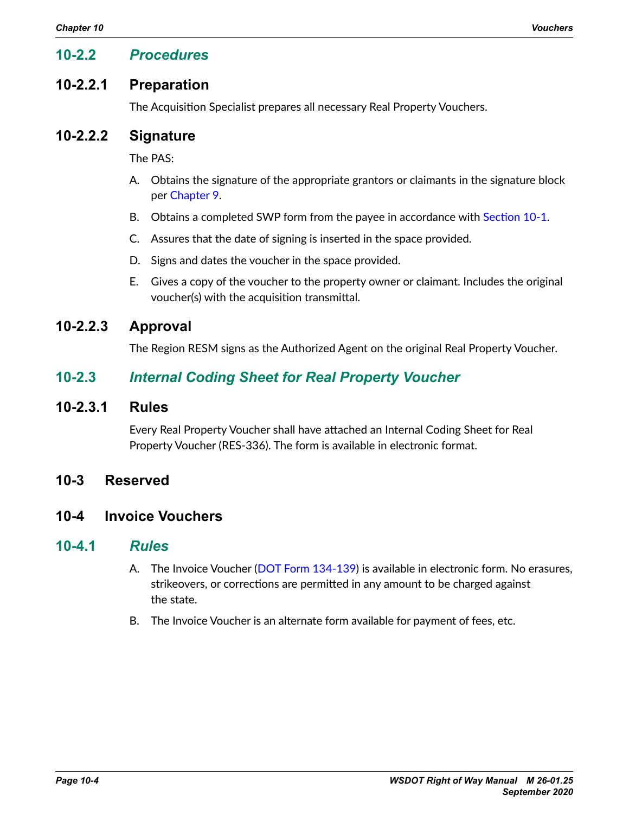### **10-2.2** *Procedures*

### **10-2.2.1 Preparation**

The Acquisition Specialist prepares all necessary Real Property Vouchers.

### **10-2.2.2 Signature**

The PAS:

- A. Obtains the signature of the appropriate grantors or claimants in the signature block per Chapter 9.
- B. Obtains a completed SWP form from the payee in accordance with [Section](#page-0-0) 10-1.
- C. Assures that the date of signing is inserted in the space provided.
- D. Signs and dates the voucher in the space provided.
- E. Gives a copy of the voucher to the property owner or claimant. Includes the original voucher(s) with the acquisition transmittal.

## **10-2.2.3 Approval**

The Region RESM signs as the Authorized Agent on the original Real Property Voucher.

## **10-2.3** *Internal Coding Sheet for Real Property Voucher*

#### **10-2.3.1 Rules**

Every Real Property Voucher shall have attached an Internal Coding Sheet for Real Property Voucher (RES-336). The form is available in electronic format.

#### **10-3 Reserved**

### **10-4 Invoice Vouchers**

#### **10-4.1** *Rules*

- A. The Invoice Voucher ([DOT Form 134-139](http://wwwi.wsdot.wa.gov/fasc/adminservices/forms/formfiles/WSDOT_Forms/134-139-InvoiceVoucher.fp7)) is available in electronic form. No erasures, strikeovers, or corrections are permitted in any amount to be charged against the state.
- B. The Invoice Voucher is an alternate form available for payment of fees, etc.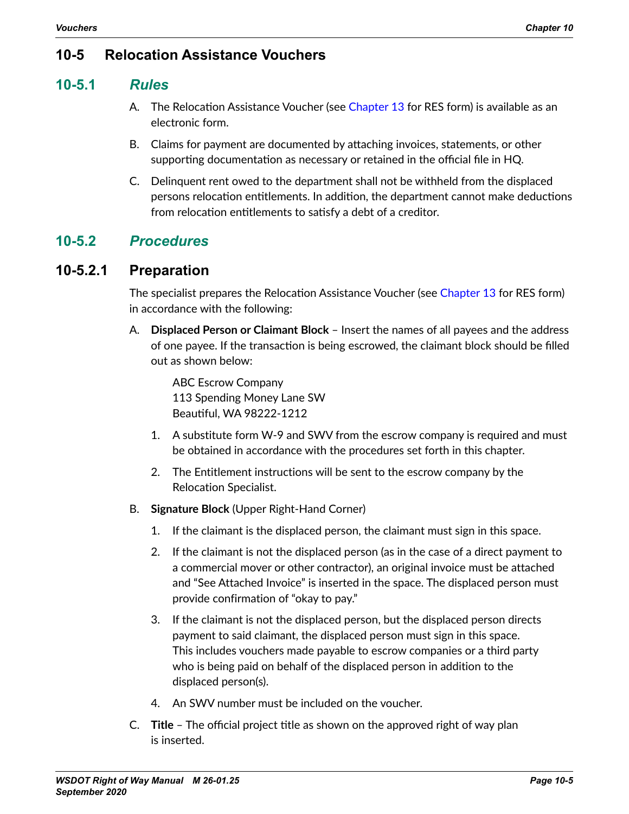## **10-5 Relocation Assistance Vouchers**

### **10-5.1** *Rules*

- A. The Relocation Assistance Voucher (see Chapter 13 for RES form) is available as an electronic form.
- B. Claims for payment are documented by attaching invoices, statements, or other supporting documentation as necessary or retained in the official file in HQ.
- C. Delinquent rent owed to the department shall not be withheld from the displaced persons relocation entitlements. In addition, the department cannot make deductions from relocation entitlements to satisfy a debt of a creditor.

## **10-5.2** *Procedures*

## **10-5.2.1 Preparation**

The specialist prepares the Relocation Assistance Voucher (see Chapter 13 for RES form) in accordance with the following:

A. **Displaced Person or Claimant Block** – Insert the names of all payees and the address of one payee. If the transaction is being escrowed, the claimant block should be filled out as shown below:

ABC Escrow Company 113 Spending Money Lane SW Beautiful, WA 98222-1212

- 1. A substitute form W-9 and SWV from the escrow company is required and must be obtained in accordance with the procedures set forth in this chapter.
- 2. The Entitlement instructions will be sent to the escrow company by the Relocation Specialist.
- B. **Signature Block** (Upper Right-Hand Corner)
	- 1. If the claimant is the displaced person, the claimant must sign in this space.
	- 2. If the claimant is not the displaced person (as in the case of a direct payment to a commercial mover or other contractor), an original invoice must be attached and "See Attached Invoice" is inserted in the space. The displaced person must provide confirmation of "okay to pay."
	- 3. If the claimant is not the displaced person, but the displaced person directs payment to said claimant, the displaced person must sign in this space. This includes vouchers made payable to escrow companies or a third party who is being paid on behalf of the displaced person in addition to the displaced person(s).
	- 4. An SWV number must be included on the voucher.
- C. **Title** The official project title as shown on the approved right of way plan is inserted.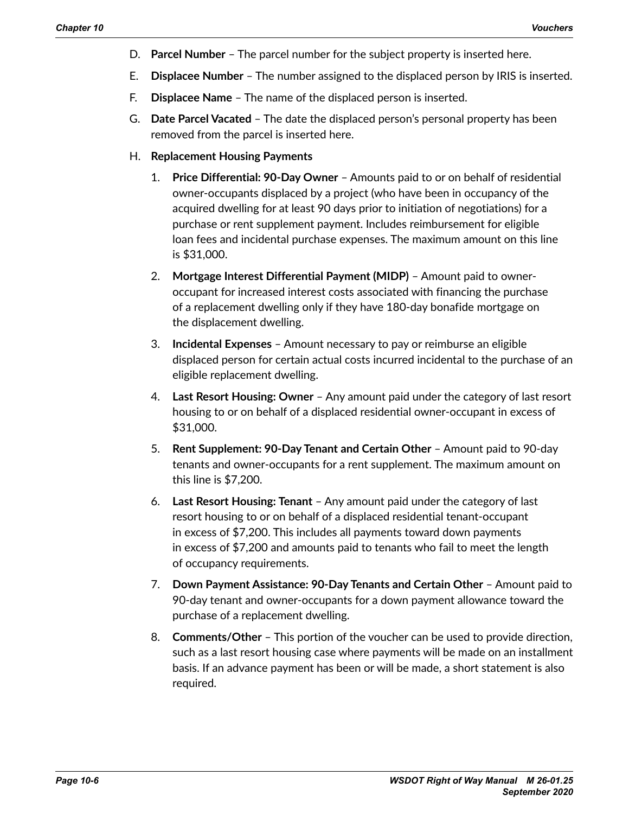- D. **Parcel Number** The parcel number for the subject property is inserted here.
- E. **Displacee Number** The number assigned to the displaced person by IRIS is inserted.
- F. **Displacee Name** The name of the displaced person is inserted.
- G. **Date Parcel Vacated** The date the displaced person's personal property has been removed from the parcel is inserted here.
- H. **Replacement Housing Payments**
	- 1. **Price Differential: 90-Day Owner** Amounts paid to or on behalf of residential owner-occupants displaced by a project (who have been in occupancy of the acquired dwelling for at least 90 days prior to initiation of negotiations) for a purchase or rent supplement payment. Includes reimbursement for eligible loan fees and incidental purchase expenses. The maximum amount on this line is \$31,000.
	- 2. **Mortgage Interest Differential Payment (MIDP)** Amount paid to owneroccupant for increased interest costs associated with financing the purchase of a replacement dwelling only if they have 180-day bonafide mortgage on the displacement dwelling.
	- 3. **Incidental Expenses** Amount necessary to pay or reimburse an eligible displaced person for certain actual costs incurred incidental to the purchase of an eligible replacement dwelling.
	- 4. **Last Resort Housing: Owner** Any amount paid under the category of last resort housing to or on behalf of a displaced residential owner-occupant in excess of \$31,000.
	- 5. **Rent Supplement: 90-Day Tenant and Certain Other** Amount paid to 90-day tenants and owner-occupants for a rent supplement. The maximum amount on this line is \$7,200.
	- 6. **Last Resort Housing: Tenant** Any amount paid under the category of last resort housing to or on behalf of a displaced residential tenant-occupant in excess of \$7,200. This includes all payments toward down payments in excess of \$7,200 and amounts paid to tenants who fail to meet the length of occupancy requirements.
	- 7. **Down Payment Assistance: 90-Day Tenants and Certain Other** Amount paid to 90-day tenant and owner-occupants for a down payment allowance toward the purchase of a replacement dwelling.
	- 8. **Comments/Other** This portion of the voucher can be used to provide direction, such as a last resort housing case where payments will be made on an installment basis. If an advance payment has been or will be made, a short statement is also required.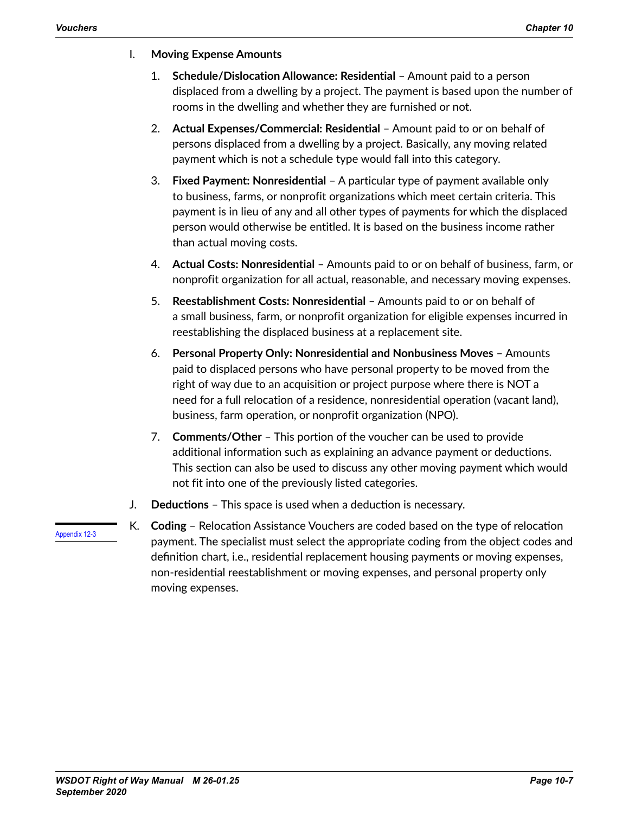#### I. **Moving Expense Amounts**

- 1. **Schedule/Dislocation Allowance: Residential** Amount paid to a person displaced from a dwelling by a project. The payment is based upon the number of rooms in the dwelling and whether they are furnished or not.
- 2. **Actual Expenses/Commercial: Residential** Amount paid to or on behalf of persons displaced from a dwelling by a project. Basically, any moving related payment which is not a schedule type would fall into this category.
- 3. **Fixed Payment: Nonresidential** A particular type of payment available only to business, farms, or nonprofit organizations which meet certain criteria. This payment is in lieu of any and all other types of payments for which the displaced person would otherwise be entitled. It is based on the business income rather than actual moving costs.
- 4. **Actual Costs: Nonresidential** Amounts paid to or on behalf of business, farm, or nonprofit organization for all actual, reasonable, and necessary moving expenses.
- 5. **Reestablishment Costs: Nonresidential** Amounts paid to or on behalf of a small business, farm, or nonprofit organization for eligible expenses incurred in reestablishing the displaced business at a replacement site.
- 6. **Personal Property Only: Nonresidential and Nonbusiness Moves** Amounts paid to displaced persons who have personal property to be moved from the right of way due to an acquisition or project purpose where there is NOT a need for a full relocation of a residence, nonresidential operation (vacant land), business, farm operation, or nonprofit organization (NPO).
- 7. **Comments/Other** This portion of the voucher can be used to provide additional information such as explaining an advance payment or deductions. This section can also be used to discuss any other moving payment which would not fit into one of the previously listed categories.
- J. **Deductions** This space is used when a deduction is necessary.
- K. **Coding** Relocation Assistance Vouchers are coded based on the type of relocation payment. The specialist must select the appropriate coding from the object codes and definition chart, i.e., residential replacement housing payments or moving expenses, non-residential reestablishment or moving expenses, and personal property only moving expenses.

Appendix 12-3